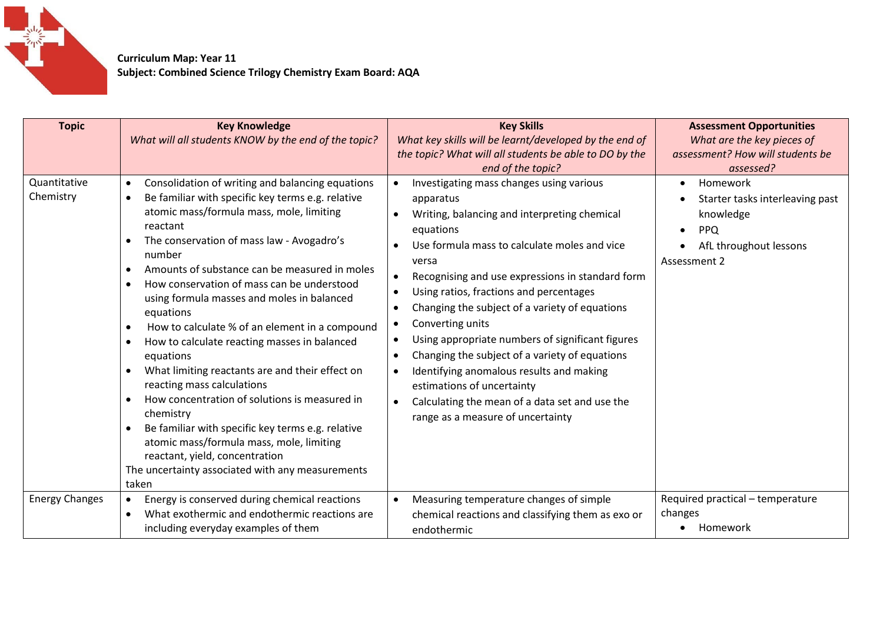

 **Curriculum Map: Year 11 Subject: Combined Science Trilogy Chemistry Exam Board: AQA**

| <b>Topic</b>              | <b>Key Knowledge</b><br>What will all students KNOW by the end of the topic?                                                                                                                                                                                                                                                                                                                                                                                                                                                                                                                                                                                                                                                                                                                                                                                                                                                                                                   | <b>Key Skills</b><br>What key skills will be learnt/developed by the end of<br>the topic? What will all students be able to DO by the<br>end of the topic?                                                                                                                                                                                                                                                                                                                                                                                                                                                                                                                                            | <b>Assessment Opportunities</b><br>What are the key pieces of<br>assessment? How will students be<br>assessed?   |
|---------------------------|--------------------------------------------------------------------------------------------------------------------------------------------------------------------------------------------------------------------------------------------------------------------------------------------------------------------------------------------------------------------------------------------------------------------------------------------------------------------------------------------------------------------------------------------------------------------------------------------------------------------------------------------------------------------------------------------------------------------------------------------------------------------------------------------------------------------------------------------------------------------------------------------------------------------------------------------------------------------------------|-------------------------------------------------------------------------------------------------------------------------------------------------------------------------------------------------------------------------------------------------------------------------------------------------------------------------------------------------------------------------------------------------------------------------------------------------------------------------------------------------------------------------------------------------------------------------------------------------------------------------------------------------------------------------------------------------------|------------------------------------------------------------------------------------------------------------------|
| Quantitative<br>Chemistry | Consolidation of writing and balancing equations<br>$\bullet$<br>Be familiar with specific key terms e.g. relative<br>$\bullet$<br>atomic mass/formula mass, mole, limiting<br>reactant<br>The conservation of mass law - Avogadro's<br>$\bullet$<br>number<br>Amounts of substance can be measured in moles<br>$\bullet$<br>How conservation of mass can be understood<br>$\bullet$<br>using formula masses and moles in balanced<br>equations<br>How to calculate % of an element in a compound<br>$\bullet$<br>How to calculate reacting masses in balanced<br>$\bullet$<br>equations<br>What limiting reactants are and their effect on<br>$\bullet$<br>reacting mass calculations<br>How concentration of solutions is measured in<br>$\bullet$<br>chemistry<br>Be familiar with specific key terms e.g. relative<br>$\bullet$<br>atomic mass/formula mass, mole, limiting<br>reactant, yield, concentration<br>The uncertainty associated with any measurements<br>taken | Investigating mass changes using various<br>$\bullet$<br>apparatus<br>Writing, balancing and interpreting chemical<br>equations<br>Use formula mass to calculate moles and vice<br>versa<br>Recognising and use expressions in standard form<br>Using ratios, fractions and percentages<br>$\bullet$<br>Changing the subject of a variety of equations<br>$\bullet$<br>Converting units<br>Using appropriate numbers of significant figures<br>$\bullet$<br>Changing the subject of a variety of equations<br>$\bullet$<br>Identifying anomalous results and making<br>$\bullet$<br>estimations of uncertainty<br>Calculating the mean of a data set and use the<br>range as a measure of uncertainty | Homework<br>Starter tasks interleaving past<br>knowledge<br><b>PPQ</b><br>AfL throughout lessons<br>Assessment 2 |
| <b>Energy Changes</b>     | Energy is conserved during chemical reactions<br>What exothermic and endothermic reactions are<br>$\bullet$<br>including everyday examples of them                                                                                                                                                                                                                                                                                                                                                                                                                                                                                                                                                                                                                                                                                                                                                                                                                             | Measuring temperature changes of simple<br>chemical reactions and classifying them as exo or<br>endothermic                                                                                                                                                                                                                                                                                                                                                                                                                                                                                                                                                                                           | Required practical - temperature<br>changes<br>Homework                                                          |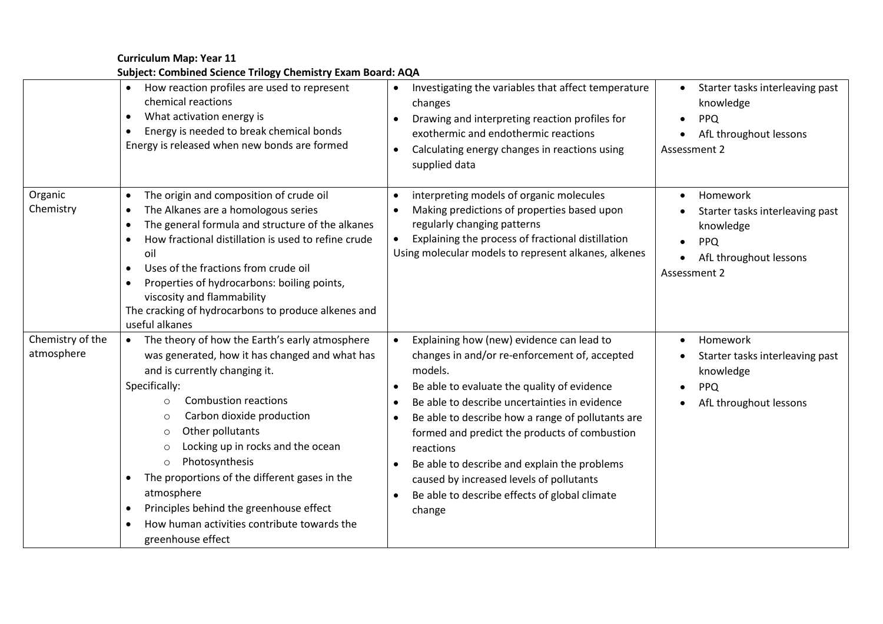**Curriculum Map: Year 11 Subject: Combined Science Trilogy Chemistry Exam Board: AQA**

|                                | How reaction profiles are used to represent<br>chemical reactions<br>What activation energy is<br>$\bullet$<br>Energy is needed to break chemical bonds<br>$\bullet$<br>Energy is released when new bonds are formed                                                                                                                                                                                                                                                                                                                                                  | Investigating the variables that affect temperature<br>changes<br>Drawing and interpreting reaction profiles for<br>exothermic and endothermic reactions<br>Calculating energy changes in reactions using<br>supplied data                                                                                                                                                                                                                                                                                             | Starter tasks interleaving past<br>$\bullet$<br>knowledge<br><b>PPQ</b><br>AfL throughout lessons<br>Assessment 2      |
|--------------------------------|-----------------------------------------------------------------------------------------------------------------------------------------------------------------------------------------------------------------------------------------------------------------------------------------------------------------------------------------------------------------------------------------------------------------------------------------------------------------------------------------------------------------------------------------------------------------------|------------------------------------------------------------------------------------------------------------------------------------------------------------------------------------------------------------------------------------------------------------------------------------------------------------------------------------------------------------------------------------------------------------------------------------------------------------------------------------------------------------------------|------------------------------------------------------------------------------------------------------------------------|
| Organic<br>Chemistry           | The origin and composition of crude oil<br>$\bullet$<br>The Alkanes are a homologous series<br>$\bullet$<br>The general formula and structure of the alkanes<br>$\bullet$<br>How fractional distillation is used to refine crude<br>oil<br>Uses of the fractions from crude oil<br>$\bullet$<br>Properties of hydrocarbons: boiling points,<br>$\bullet$<br>viscosity and flammability<br>The cracking of hydrocarbons to produce alkenes and<br>useful alkanes                                                                                                       | interpreting models of organic molecules<br>Making predictions of properties based upon<br>regularly changing patterns<br>Explaining the process of fractional distillation<br>Using molecular models to represent alkanes, alkenes                                                                                                                                                                                                                                                                                    | Homework<br>$\bullet$<br>Starter tasks interleaving past<br>knowledge<br>PPQ<br>AfL throughout lessons<br>Assessment 2 |
| Chemistry of the<br>atmosphere | The theory of how the Earth's early atmosphere<br>$\bullet$<br>was generated, how it has changed and what has<br>and is currently changing it.<br>Specifically:<br><b>Combustion reactions</b><br>$\circ$<br>Carbon dioxide production<br>$\circ$<br>Other pollutants<br>$\circ$<br>Locking up in rocks and the ocean<br>$\circ$<br>Photosynthesis<br>$\circ$<br>The proportions of the different gases in the<br>$\bullet$<br>atmosphere<br>Principles behind the greenhouse effect<br>$\bullet$<br>How human activities contribute towards the<br>greenhouse effect | Explaining how (new) evidence can lead to<br>changes in and/or re-enforcement of, accepted<br>models.<br>Be able to evaluate the quality of evidence<br>Be able to describe uncertainties in evidence<br>Be able to describe how a range of pollutants are<br>$\bullet$<br>formed and predict the products of combustion<br>reactions<br>Be able to describe and explain the problems<br>$\bullet$<br>caused by increased levels of pollutants<br>Be able to describe effects of global climate<br>$\bullet$<br>change | Homework<br>Starter tasks interleaving past<br>knowledge<br><b>PPQ</b><br>AfL throughout lessons                       |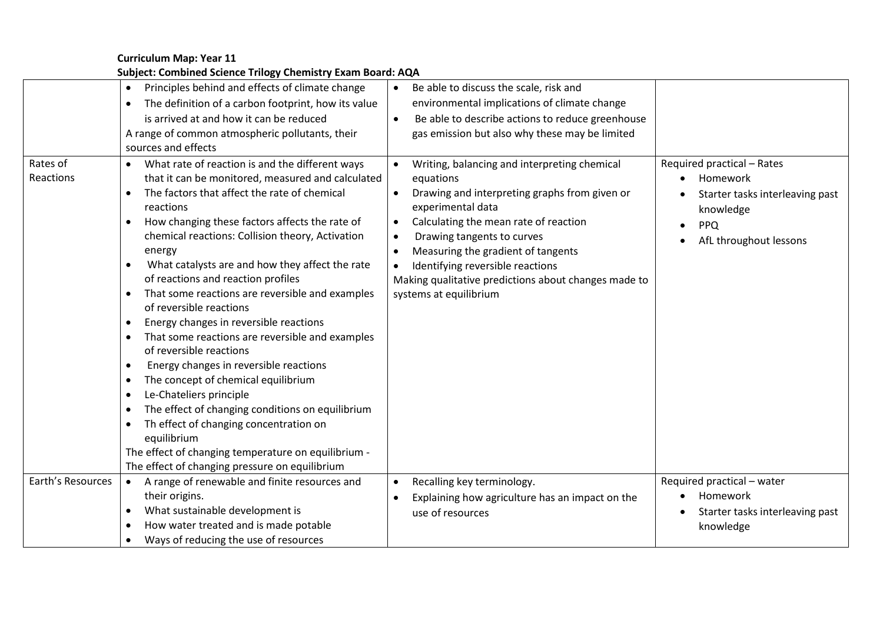## **Curriculum Map: Year 11 Subject: Combined Science Trilogy Chemistry Exam Board: AQA**

| Principles behind and effects of climate change<br>Be able to discuss the scale, risk and<br>$\bullet$<br>environmental implications of climate change<br>The definition of a carbon footprint, how its value<br>$\bullet$<br>is arrived at and how it can be reduced<br>Be able to describe actions to reduce greenhouse<br>$\bullet$<br>gas emission but also why these may be limited<br>A range of common atmospheric pollutants, their<br>sources and effects<br>What rate of reaction is and the different ways<br>Required practical - Rates<br>Writing, balancing and interpreting chemical<br>$\bullet$                                                                                                                                                                                                                                                                                                                                                                                                                                                                                                                                                                                                                                                                                                                                             |
|--------------------------------------------------------------------------------------------------------------------------------------------------------------------------------------------------------------------------------------------------------------------------------------------------------------------------------------------------------------------------------------------------------------------------------------------------------------------------------------------------------------------------------------------------------------------------------------------------------------------------------------------------------------------------------------------------------------------------------------------------------------------------------------------------------------------------------------------------------------------------------------------------------------------------------------------------------------------------------------------------------------------------------------------------------------------------------------------------------------------------------------------------------------------------------------------------------------------------------------------------------------------------------------------------------------------------------------------------------------|
|                                                                                                                                                                                                                                                                                                                                                                                                                                                                                                                                                                                                                                                                                                                                                                                                                                                                                                                                                                                                                                                                                                                                                                                                                                                                                                                                                              |
|                                                                                                                                                                                                                                                                                                                                                                                                                                                                                                                                                                                                                                                                                                                                                                                                                                                                                                                                                                                                                                                                                                                                                                                                                                                                                                                                                              |
|                                                                                                                                                                                                                                                                                                                                                                                                                                                                                                                                                                                                                                                                                                                                                                                                                                                                                                                                                                                                                                                                                                                                                                                                                                                                                                                                                              |
|                                                                                                                                                                                                                                                                                                                                                                                                                                                                                                                                                                                                                                                                                                                                                                                                                                                                                                                                                                                                                                                                                                                                                                                                                                                                                                                                                              |
|                                                                                                                                                                                                                                                                                                                                                                                                                                                                                                                                                                                                                                                                                                                                                                                                                                                                                                                                                                                                                                                                                                                                                                                                                                                                                                                                                              |
| that it can be monitored, measured and calculated<br>equations<br>Homework<br>The factors that affect the rate of chemical<br>Drawing and interpreting graphs from given or<br>$\bullet$<br>Starter tasks interleaving past<br>experimental data<br>reactions<br>knowledge<br>How changing these factors affects the rate of<br>Calculating the mean rate of reaction<br><b>PPQ</b><br>chemical reactions: Collision theory, Activation<br>Drawing tangents to curves<br>AfL throughout lessons<br>Measuring the gradient of tangents<br>energy<br>What catalysts are and how they affect the rate<br>Identifying reversible reactions<br>$\bullet$<br>of reactions and reaction profiles<br>Making qualitative predictions about changes made to<br>That some reactions are reversible and examples<br>systems at equilibrium<br>$\bullet$<br>of reversible reactions<br>Energy changes in reversible reactions<br>$\bullet$<br>That some reactions are reversible and examples<br>$\bullet$<br>of reversible reactions<br>Energy changes in reversible reactions<br>$\bullet$<br>The concept of chemical equilibrium<br>$\bullet$<br>Le-Chateliers principle<br>$\bullet$<br>The effect of changing conditions on equilibrium<br>$\bullet$<br>Th effect of changing concentration on<br>equilibrium<br>The effect of changing temperature on equilibrium - |
| The effect of changing pressure on equilibrium<br>Earth's Resources<br>Required practical - water<br>A range of renewable and finite resources and<br>Recalling key terminology.<br>$\bullet$                                                                                                                                                                                                                                                                                                                                                                                                                                                                                                                                                                                                                                                                                                                                                                                                                                                                                                                                                                                                                                                                                                                                                                |
| their origins.<br>Homework<br>Explaining how agriculture has an impact on the                                                                                                                                                                                                                                                                                                                                                                                                                                                                                                                                                                                                                                                                                                                                                                                                                                                                                                                                                                                                                                                                                                                                                                                                                                                                                |
| What sustainable development is<br>Starter tasks interleaving past<br>$\bullet$<br>use of resources                                                                                                                                                                                                                                                                                                                                                                                                                                                                                                                                                                                                                                                                                                                                                                                                                                                                                                                                                                                                                                                                                                                                                                                                                                                          |
| How water treated and is made potable<br>knowledge                                                                                                                                                                                                                                                                                                                                                                                                                                                                                                                                                                                                                                                                                                                                                                                                                                                                                                                                                                                                                                                                                                                                                                                                                                                                                                           |
| Ways of reducing the use of resources                                                                                                                                                                                                                                                                                                                                                                                                                                                                                                                                                                                                                                                                                                                                                                                                                                                                                                                                                                                                                                                                                                                                                                                                                                                                                                                        |